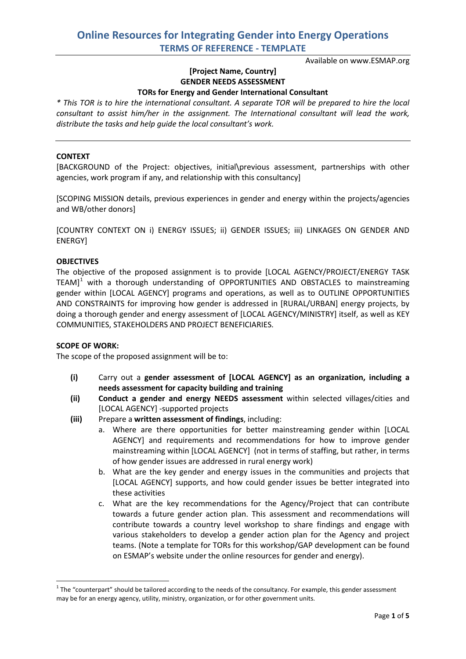Available on www.ESMAP.org

# **[Project Name, Country] GENDER NEEDS ASSESSMENT**

## **TORs for Energy and Gender International Consultant**

*\* This TOR is to hire the international consultant. A separate TOR will be prepared to hire the local consultant to assist him/her in the assignment. The International consultant will lead the work, distribute the tasks and help guide the local consultant's work.*

#### **CONTEXT**

[BACKGROUND of the Project: objectives, initial\previous assessment, partnerships with other agencies, work program if any, and relationship with this consultancy]

[SCOPING MISSION details, previous experiences in gender and energy within the projects/agencies and WB/other donors]

[COUNTRY CONTEXT ON i) ENERGY ISSUES; ii) GENDER ISSUES; iii) LINKAGES ON GENDER AND ENERGY]

#### **OBJECTIVES**

The objective of the proposed assignment is to provide [LOCAL AGENCY/PROJECT/ENERGY TASK TEAM] $<sup>1</sup>$  $<sup>1</sup>$  $<sup>1</sup>$  with a thorough understanding of OPPORTUNITIES AND OBSTACLES to mainstreaming</sup> gender within [LOCAL AGENCY] programs and operations, as well as to OUTLINE OPPORTUNITIES AND CONSTRAINTS for improving how gender is addressed in [RURAL/URBAN] energy projects, by doing a thorough gender and energy assessment of [LOCAL AGENCY/MINISTRY] itself, as well as KEY COMMUNITIES, STAKEHOLDERS AND PROJECT BENEFICIARIES.

#### **SCOPE OF WORK:**

The scope of the proposed assignment will be to:

- **(i)** Carry out a **gender assessment of [LOCAL AGENCY] as an organization, including a needs assessment for capacity building and training**
- **(ii) Conduct a gender and energy NEEDS assessment** within selected villages/cities and [LOCAL AGENCY] -supported projects
- **(iii)** Prepare a **written assessment of findings**, including:
	- a. Where are there opportunities for better mainstreaming gender within [LOCAL AGENCY] and requirements and recommendations for how to improve gender mainstreaming within [LOCAL AGENCY] (not in terms of staffing, but rather, in terms of how gender issues are addressed in rural energy work)
	- b. What are the key gender and energy issues in the communities and projects that [LOCAL AGENCY] supports, and how could gender issues be better integrated into these activities
	- c. What are the key recommendations for the Agency/Project that can contribute towards a future gender action plan. This assessment and recommendations will contribute towards a country level workshop to share findings and engage with various stakeholders to develop a gender action plan for the Agency and project teams. (Note a template for TORs for this workshop/GAP development can be found on ESMAP's website under the online resources for gender and energy).

<span id="page-0-0"></span> $1$  The "counterpart" should be tailored according to the needs of the consultancy. For example, this gender assessment may be for an energy agency, utility, ministry, organization, or for other government units.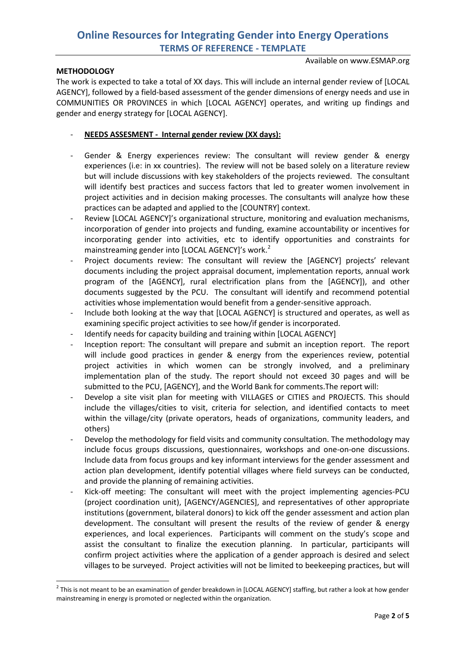#### Available on www.ESMAP.org

### **METHODOLOGY**

The work is expected to take a total of XX days. This will include an internal gender review of [LOCAL AGENCY], followed by a field-based assessment of the gender dimensions of energy needs and use in COMMUNITIES OR PROVINCES in which [LOCAL AGENCY] operates, and writing up findings and gender and energy strategy for [LOCAL AGENCY].

## - **NEEDS ASSESMENT - Internal gender review (XX days):**

- Gender & Energy experiences review: The consultant will review gender & energy experiences (i.e: in xx countries). The review will not be based solely on a literature review but will include discussions with key stakeholders of the projects reviewed. The consultant will identify best practices and success factors that led to greater women involvement in project activities and in decision making processes. The consultants will analyze how these practices can be adapted and applied to the [COUNTRY] context.
- Review [LOCAL AGENCY]'s organizational structure, monitoring and evaluation mechanisms, incorporation of gender into projects and funding, examine accountability or incentives for incorporating gender into activities, etc to identify opportunities and constraints for mainstreaming gender into [LOCAL AGENCY]'s work.<sup>[2](#page-1-0)</sup>
- Project documents review: The consultant will review the [AGENCY] projects' relevant documents including the project appraisal document, implementation reports, annual work program of the [AGENCY], rural electrification plans from the [AGENCY]), and other documents suggested by the PCU. The consultant will identify and recommend potential activities whose implementation would benefit from a gender-sensitive approach.
- Include both looking at the way that [LOCAL AGENCY] is structured and operates, as well as examining specific project activities to see how/if gender is incorporated.
- Identify needs for capacity building and training within [LOCAL AGENCY]
- Inception report: The consultant will prepare and submit an inception report. The report will include good practices in gender & energy from the experiences review, potential project activities in which women can be strongly involved, and a preliminary implementation plan of the study. The report should not exceed 30 pages and will be submitted to the PCU, [AGENCY], and the World Bank for comments.The report will:
- Develop a site visit plan for meeting with VILLAGES or CITIES and PROJECTS. This should include the villages/cities to visit, criteria for selection, and identified contacts to meet within the village/city (private operators, heads of organizations, community leaders, and others)
- Develop the methodology for field visits and community consultation. The methodology may include focus groups discussions, questionnaires, workshops and one-on-one discussions. Include data from focus groups and key informant interviews for the gender assessment and action plan development, identify potential villages where field surveys can be conducted, and provide the planning of remaining activities.
- Kick-off meeting: The consultant will meet with the project implementing agencies-PCU (project coordination unit), [AGENCY/AGENCIES], and representatives of other appropriate institutions (government, bilateral donors) to kick off the gender assessment and action plan development. The consultant will present the results of the review of gender & energy experiences, and local experiences. Participants will comment on the study's scope and assist the consultant to finalize the execution planning. In particular, participants will confirm project activities where the application of a gender approach is desired and select villages to be surveyed. Project activities will not be limited to beekeeping practices, but will

<span id="page-1-0"></span> $2$  This is not meant to be an examination of gender breakdown in [LOCAL AGENCY] staffing, but rather a look at how gender mainstreaming in energy is promoted or neglected within the organization.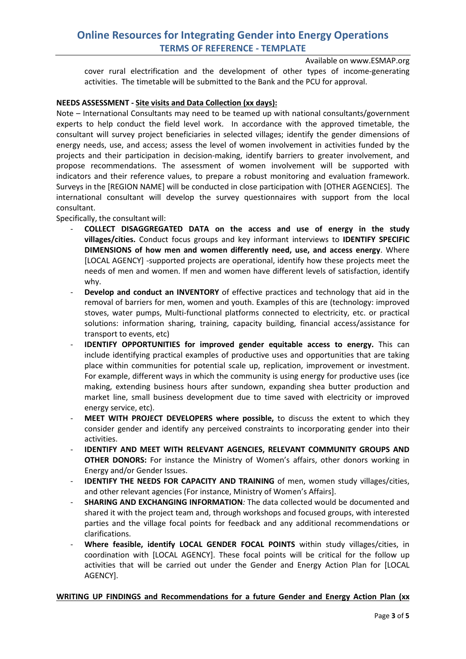Available on www.ESMAP.org

cover rural electrification and the development of other types of income-generating activities. The timetable will be submitted to the Bank and the PCU for approval.

### **NEEDS ASSESSMENT - Site visits and Data Collection (xx days):**

Note – International Consultants may need to be teamed up with national consultants/government experts to help conduct the field level work. In accordance with the approved timetable, the consultant will survey project beneficiaries in selected villages; identify the gender dimensions of energy needs, use, and access; assess the level of women involvement in activities funded by the projects and their participation in decision-making, identify barriers to greater involvement, and propose recommendations. The assessment of women involvement will be supported with indicators and their reference values, to prepare a robust monitoring and evaluation framework. Surveys in the [REGION NAME] will be conducted in close participation with [OTHER AGENCIES]. The international consultant will develop the survey questionnaires with support from the local consultant.

Specifically, the consultant will:

- **COLLECT DISAGGREGATED DATA on the access and use of energy in the study villages/cities.** Conduct focus groups and key informant interviews to **IDENTIFY SPECIFIC DIMENSIONS of how men and women differently need, use, and access energy**. Where [LOCAL AGENCY] -supported projects are operational, identify how these projects meet the needs of men and women. If men and women have different levels of satisfaction, identify why.
- **Develop and conduct an INVENTORY** of effective practices and technology that aid in the removal of barriers for men, women and youth. Examples of this are (technology: improved stoves, water pumps, Multi-functional platforms connected to electricity, etc. or practical solutions: information sharing, training, capacity building, financial access/assistance for transport to events, etc)
- **IDENTIFY OPPORTUNITIES for improved gender equitable access to energy.** This can include identifying practical examples of productive uses and opportunities that are taking place within communities for potential scale up, replication, improvement or investment. For example, different ways in which the community is using energy for productive uses (ice making, extending business hours after sundown, expanding shea butter production and market line, small business development due to time saved with electricity or improved energy service, etc).
- **MEET WITH PROJECT DEVELOPERS where possible,** to discuss the extent to which they consider gender and identify any perceived constraints to incorporating gender into their activities.
- **IDENTIFY AND MEET WITH RELEVANT AGENCIES, RELEVANT COMMUNITY GROUPS AND OTHER DONORS:** For instance the Ministry of Women's affairs, other donors working in Energy and/or Gender Issues.
- **IDENTIFY THE NEEDS FOR CAPACITY AND TRAINING** of men, women study villages/cities, and other relevant agencies (For instance, Ministry of Women's Affairs].
- **SHARING AND EXCHANGING INFORMATION***:* The data collected would be documented and shared it with the project team and, through workshops and focused groups, with interested parties and the village focal points for feedback and any additional recommendations or clarifications.
- Where feasible, identify LOCAL GENDER FOCAL POINTS within study villages/cities, in coordination with [LOCAL AGENCY]. These focal points will be critical for the follow up activities that will be carried out under the Gender and Energy Action Plan for [LOCAL AGENCY].

### **WRITING UP FINDINGS and Recommendations for a future Gender and Energy Action Plan (xx**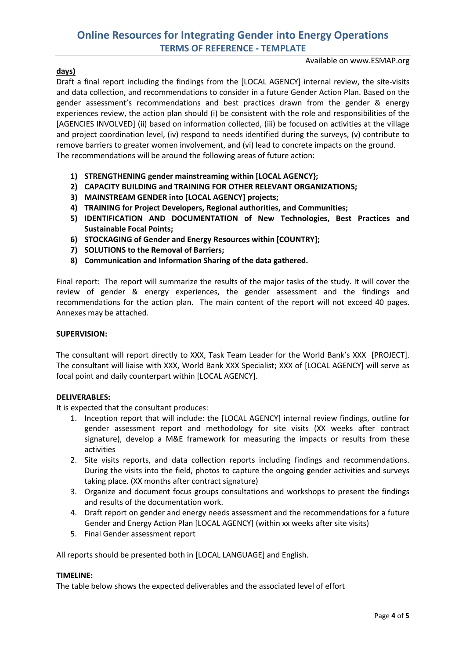#### Available on www.ESMAP.org

### **days)**

Draft a final report including the findings from the [LOCAL AGENCY] internal review, the site-visits and data collection, and recommendations to consider in a future Gender Action Plan. Based on the gender assessment's recommendations and best practices drawn from the gender & energy experiences review, the action plan should (i) be consistent with the role and responsibilities of the [AGENCIES INVOLVED] (ii) based on information collected, (iii) be focused on activities at the village and project coordination level, (iv) respond to needs identified during the surveys, (v) contribute to remove barriers to greater women involvement, and (vi) lead to concrete impacts on the ground. The recommendations will be around the following areas of future action:

- **1) STRENGTHENING gender mainstreaming within [LOCAL AGENCY};**
- **2) CAPACITY BUILDING and TRAINING FOR OTHER RELEVANT ORGANIZATIONS;**
- **3) MAINSTREAM GENDER into [LOCAL AGENCY] projects;**
- **4) TRAINING for Project Developers, Regional authorities, and Communities;**
- **5) IDENTIFICATION AND DOCUMENTATION of New Technologies, Best Practices and Sustainable Focal Points;**
- **6) STOCKAGING of Gender and Energy Resources within [COUNTRY];**
- **7) SOLUTIONS to the Removal of Barriers;**
- **8) Communication and Information Sharing of the data gathered.**

Final report: The report will summarize the results of the major tasks of the study. It will cover the review of gender & energy experiences, the gender assessment and the findings and recommendations for the action plan. The main content of the report will not exceed 40 pages. Annexes may be attached.

### **SUPERVISION:**

The consultant will report directly to XXX, Task Team Leader for the World Bank's XXX [PROJECT]. The consultant will liaise with XXX, World Bank XXX Specialist; XXX of [LOCAL AGENCY] will serve as focal point and daily counterpart within [LOCAL AGENCY].

### **DELIVERABLES:**

It is expected that the consultant produces:

- 1. Inception report that will include: the [LOCAL AGENCY] internal review findings, outline for gender assessment report and methodology for site visits (XX weeks after contract signature), develop a M&E framework for measuring the impacts or results from these activities
- 2. Site visits reports, and data collection reports including findings and recommendations. During the visits into the field, photos to capture the ongoing gender activities and surveys taking place. (XX months after contract signature)
- 3. Organize and document focus groups consultations and workshops to present the findings and results of the documentation work.
- 4. Draft report on gender and energy needs assessment and the recommendations for a future Gender and Energy Action Plan [LOCAL AGENCY] (within xx weeks after site visits)
- 5. Final Gender assessment report

All reports should be presented both in [LOCAL LANGUAGE] and English.

### **TIMELINE:**

The table below shows the expected deliverables and the associated level of effort